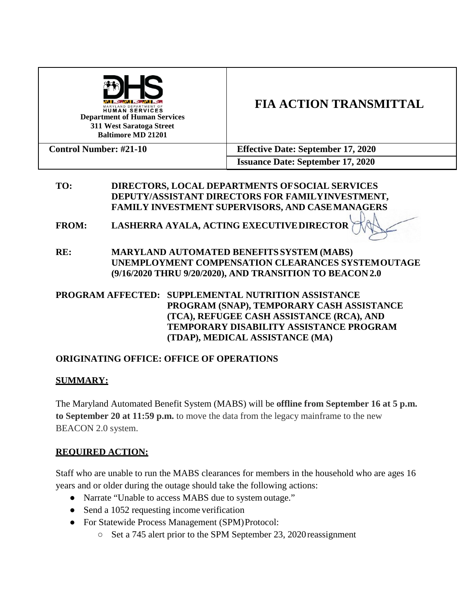

# **FIA ACTION TRANSMITTAL**

**Control Number: #21-10 Effective Date: September 17, 2020 Issuance Date: September 17, 2020**

#### **TO: DIRECTORS, LOCAL DEPARTMENTS OFSOCIAL SERVICES DEPUTY/ASSISTANT DIRECTORS FOR FAMILYINVESTMENT, FAMILY INVESTMENT SUPERVISORS, AND CASEMANAGERS**

- **FROM: LASHERRA AYALA, ACTING EXECUTIVEDIRECTOR**
- **RE: MARYLAND AUTOMATED BENEFITSSYSTEM (MABS) UNEMPLOYMENT COMPENSATION CLEARANCES SYSTEMOUTAGE (9/16/2020 THRU 9/20/2020), AND TRANSITION TO BEACON 2.0**

## **PROGRAM AFFECTED: SUPPLEMENTAL NUTRITION ASSISTANCE PROGRAM (SNAP), TEMPORARY CASH ASSISTANCE (TCA), REFUGEE CASH ASSISTANCE (RCA), AND TEMPORARY DISABILITY ASSISTANCE PROGRAM (TDAP), MEDICAL ASSISTANCE (MA)**

## **ORIGINATING OFFICE: OFFICE OF OPERATIONS**

## **SUMMARY:**

The Maryland Automated Benefit System (MABS) will be **offline from September 16 at 5 p.m. to September 20 at 11:59 p.m.** to move the data from the legacy mainframe to the new BEACON 2.0 system.

## **REQUIRED ACTION:**

Staff who are unable to run the MABS clearances for members in the household who are ages 16 years and or older during the outage should take the following actions:

- Narrate "Unable to access MABS due to system outage."
- Send a 1052 requesting income verification
- For Statewide Process Management (SPM) Protocol:
	- Set a 745 alert prior to the SPM September 23, 2020reassignment